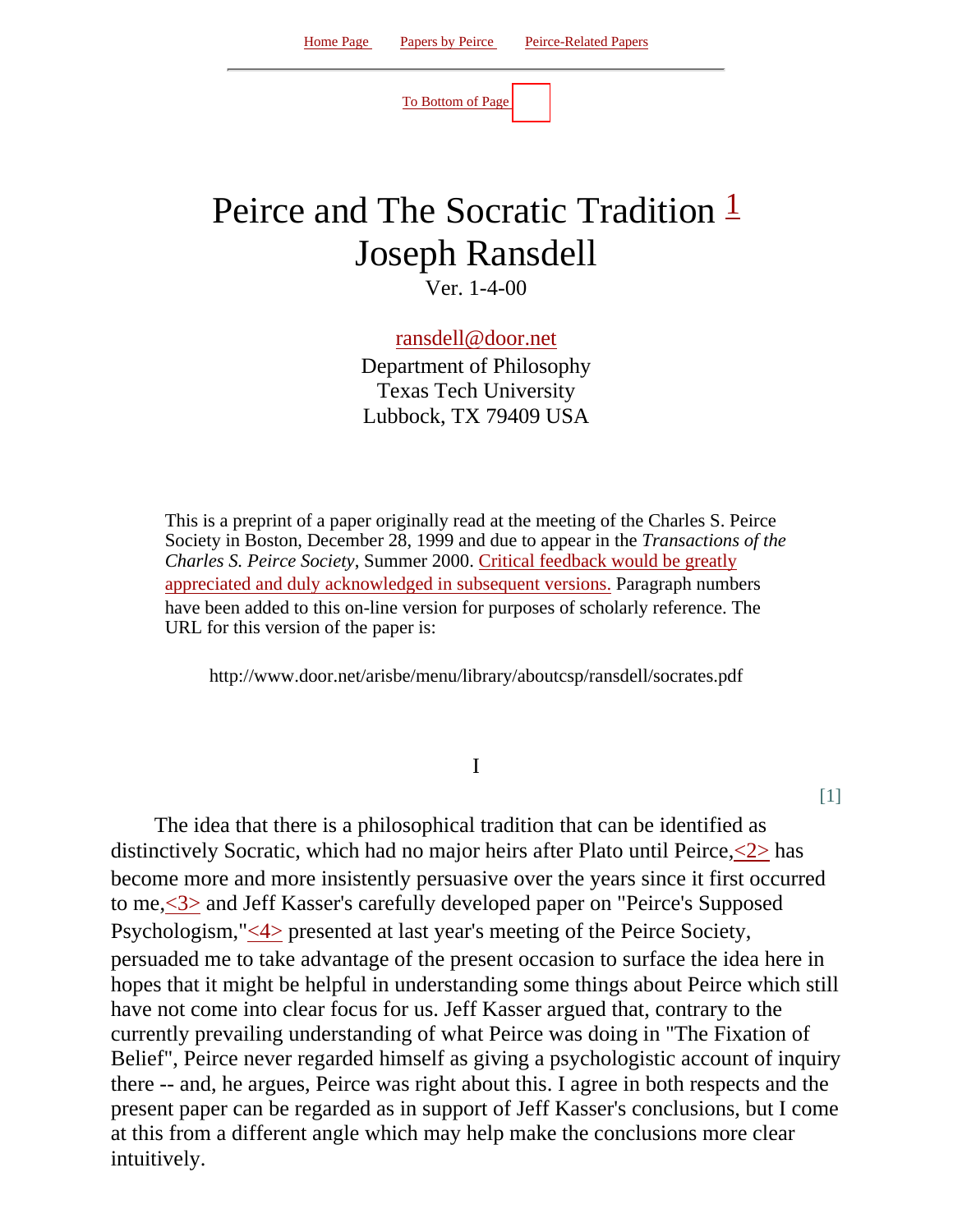[To Bottom of Page](#page-16-0)

# <span id="page-0-4"></span><span id="page-0-0"></span>Peirce and The Socratic Tradition  $\frac{1}{1}$ Joseph Ransdell

Ver. 1-4-00

[ransdell@door.net](mailto:ransdell@door.net)

Department of Philosophy Texas Tech University Lubbock, TX 79409 USA

This is a preprint of a paper originally read at the meeting of the Charles S. Peirce Society in Boston, December 28, 1999 and due to appear in the *Transactions of the Charles S. Peirce Society*, Summer 2000. [Critical feedback would be greatly](mailto:ransdell@door.net) [appreciated and duly acknowledged in subsequent versions.](mailto:ransdell@door.net) Paragraph numbers have been added to this on-line version for purposes of scholarly reference. The URL for this version of the paper is:

http://www.door.net/arisbe/menu/library/aboutcsp/ransdell/socrates.pdf

I

[1]

<span id="page-0-3"></span><span id="page-0-2"></span><span id="page-0-1"></span> The idea that there is a philosophical tradition that can be identified as distinctively Socratic, which had no major heirs after Plato until Peirce,[<2>](#page-12-1) has become more and more insistently persuasive over the years since it first occurred to me[,<3>](#page-12-2) and Jeff Kasser's carefully developed paper on "Peirce's Supposed Psychologism,"[<4>](#page-13-0) presented at last year's meeting of the Peirce Society, persuaded me to take advantage of the present occasion to surface the idea here in hopes that it might be helpful in understanding some things about Peirce which still have not come into clear focus for us. Jeff Kasser argued that, contrary to the currently prevailing understanding of what Peirce was doing in "The Fixation of Belief", Peirce never regarded himself as giving a psychologistic account of inquiry there -- and, he argues, Peirce was right about this. I agree in both respects and the present paper can be regarded as in support of Jeff Kasser's conclusions, but I come at this from a different angle which may help make the conclusions more clear intuitively.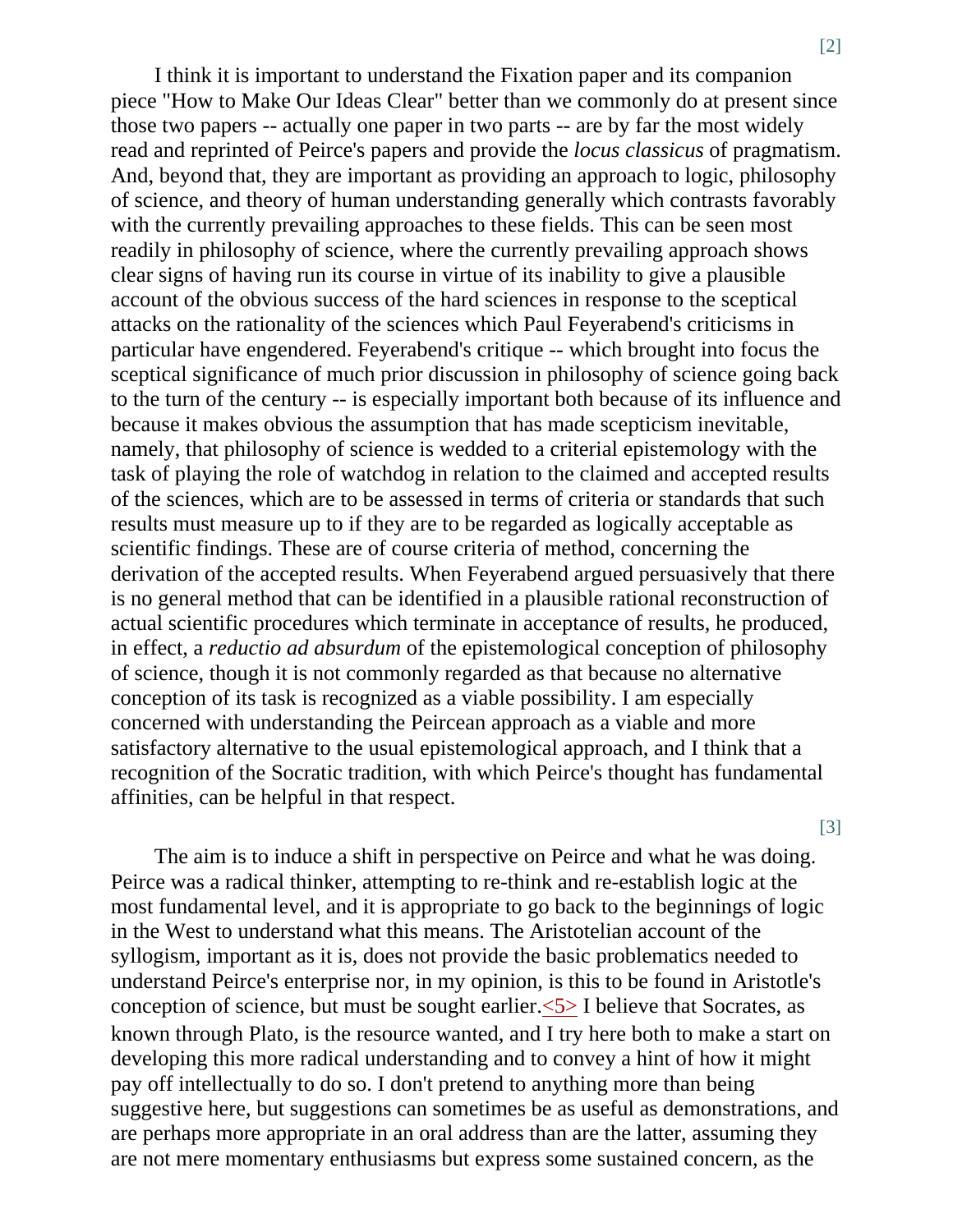I think it is important to understand the Fixation paper and its companion piece "How to Make Our Ideas Clear" better than we commonly do at present since those two papers -- actually one paper in two parts -- are by far the most widely read and reprinted of Peirce's papers and provide the *locus classicus* of pragmatism. And, beyond that, they are important as providing an approach to logic, philosophy of science, and theory of human understanding generally which contrasts favorably with the currently prevailing approaches to these fields. This can be seen most readily in philosophy of science, where the currently prevailing approach shows clear signs of having run its course in virtue of its inability to give a plausible account of the obvious success of the hard sciences in response to the sceptical attacks on the rationality of the sciences which Paul Feyerabend's criticisms in particular have engendered. Feyerabend's critique -- which brought into focus the sceptical significance of much prior discussion in philosophy of science going back to the turn of the century -- is especially important both because of its influence and because it makes obvious the assumption that has made scepticism inevitable, namely, that philosophy of science is wedded to a criterial epistemology with the task of playing the role of watchdog in relation to the claimed and accepted results of the sciences, which are to be assessed in terms of criteria or standards that such results must measure up to if they are to be regarded as logically acceptable as scientific findings. These are of course criteria of method, concerning the derivation of the accepted results. When Feyerabend argued persuasively that there is no general method that can be identified in a plausible rational reconstruction of actual scientific procedures which terminate in acceptance of results, he produced, in effect, a *reductio ad absurdum* of the epistemological conception of philosophy of science, though it is not commonly regarded as that because no alternative conception of its task is recognized as a viable possibility. I am especially concerned with understanding the Peircean approach as a viable and more satisfactory alternative to the usual epistemological approach, and I think that a recognition of the Socratic tradition, with which Peirce's thought has fundamental affinities, can be helpful in that respect.

<span id="page-1-0"></span> The aim is to induce a shift in perspective on Peirce and what he was doing. Peirce was a radical thinker, attempting to re-think and re-establish logic at the most fundamental level, and it is appropriate to go back to the beginnings of logic in the West to understand what this means. The Aristotelian account of the syllogism, important as it is, does not provide the basic problematics needed to understand Peirce's enterprise nor, in my opinion, is this to be found in Aristotle's conception of science, but must be sought earlier[.<5>](#page-13-1) I believe that Socrates, as known through Plato, is the resource wanted, and I try here both to make a start on developing this more radical understanding and to convey a hint of how it might pay off intellectually to do so. I don't pretend to anything more than being suggestive here, but suggestions can sometimes be as useful as demonstrations, and are perhaps more appropriate in an oral address than are the latter, assuming they are not mere momentary enthusiasms but express some sustained concern, as the

[3]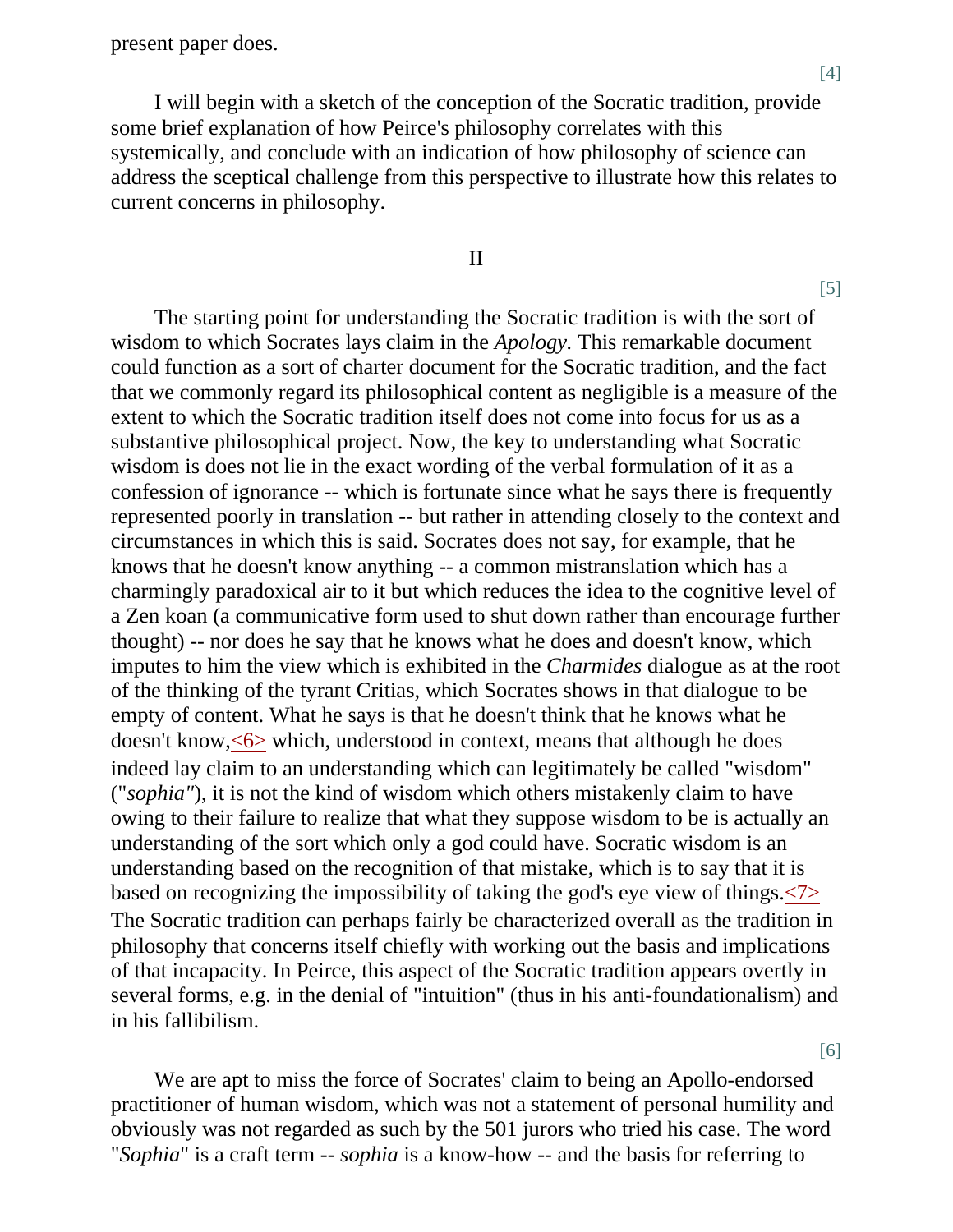I will begin with a sketch of the conception of the Socratic tradition, provide some brief explanation of how Peirce's philosophy correlates with this systemically, and conclude with an indication of how philosophy of science can address the sceptical challenge from this perspective to illustrate how this relates to current concerns in philosophy.

II

 The starting point for understanding the Socratic tradition is with the sort of wisdom to which Socrates lays claim in the *Apology.* This remarkable document could function as a sort of charter document for the Socratic tradition, and the fact that we commonly regard its philosophical content as negligible is a measure of the extent to which the Socratic tradition itself does not come into focus for us as a substantive philosophical project. Now, the key to understanding what Socratic wisdom is does not lie in the exact wording of the verbal formulation of it as a confession of ignorance -- which is fortunate since what he says there is frequently represented poorly in translation -- but rather in attending closely to the context and circumstances in which this is said. Socrates does not say, for example, that he knows that he doesn't know anything -- a common mistranslation which has a charmingly paradoxical air to it but which reduces the idea to the cognitive level of a Zen koan (a communicative form used to shut down rather than encourage further thought) -- nor does he say that he knows what he does and doesn't know, which imputes to him the view which is exhibited in the *Charmides* dialogue as at the root of the thinking of the tyrant Critias, which Socrates shows in that dialogue to be empty of content. What he says is that he doesn't think that he knows what he doesn't know[,<6>](#page-13-2) which, understood in context, means that although he does indeed lay claim to an understanding which can legitimately be called "wisdom" ("*sophia"*), it is not the kind of wisdom which others mistakenly claim to have owing to their failure to realize that what they suppose wisdom to be is actually an understanding of the sort which only a god could have. Socratic wisdom is an understanding based on the recognition of that mistake, which is to say that it is based on recognizing the impossibility of taking the god's eye view of things[.<7>](#page-13-3) The Socratic tradition can perhaps fairly be characterized overall as the tradition in philosophy that concerns itself chiefly with working out the basis and implications of that incapacity. In Peirce, this aspect of the Socratic tradition appears overtly in several forms, e.g. in the denial of "intuition" (thus in his anti-foundationalism) and in his fallibilism.

[6]

<span id="page-2-1"></span><span id="page-2-0"></span> We are apt to miss the force of Socrates' claim to being an Apollo-endorsed practitioner of human wisdom, which was not a statement of personal humility and obviously was not regarded as such by the 501 jurors who tried his case. The word "*Sophia*" is a craft term -- *sophia* is a know-how -- and the basis for referring to

[5]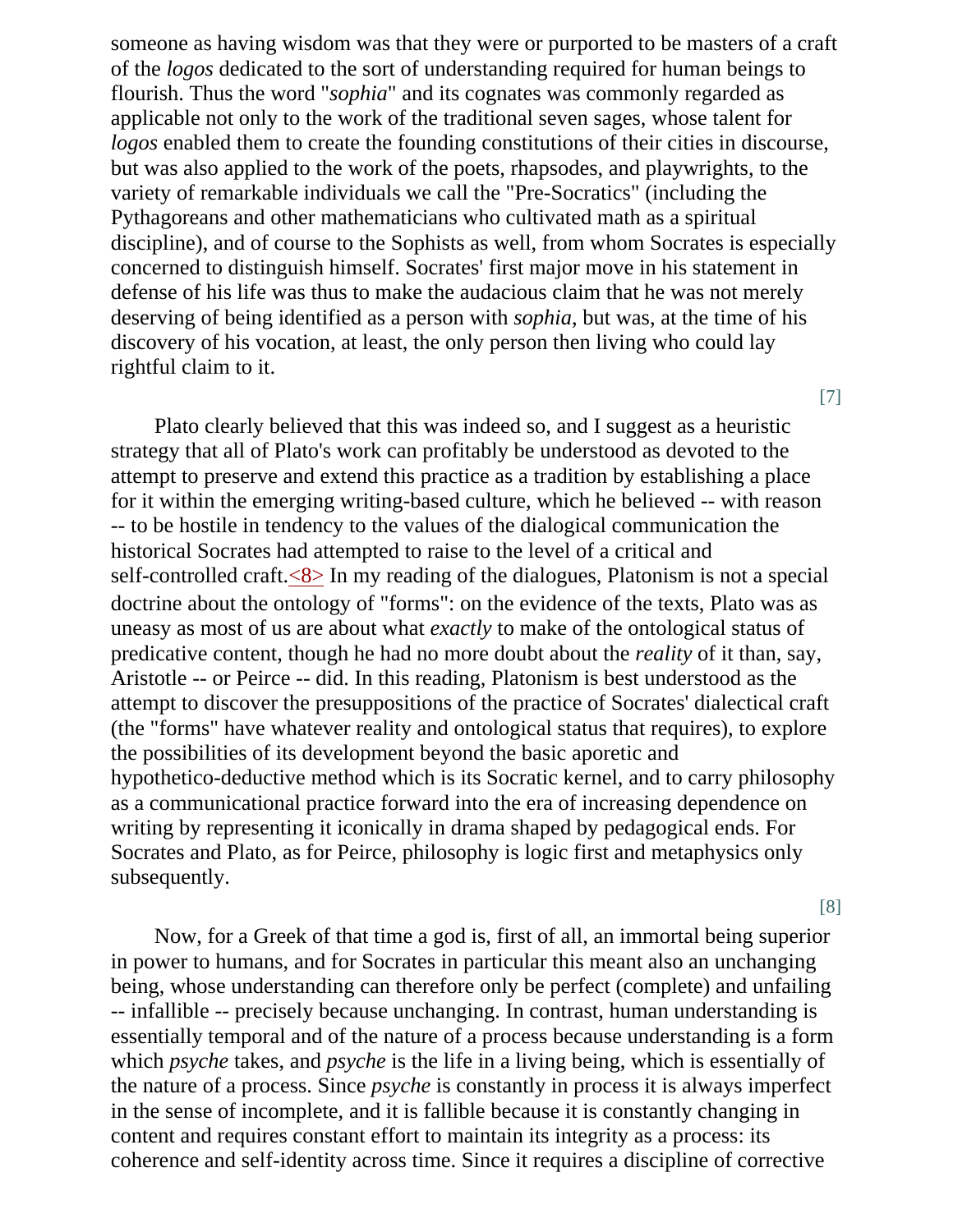someone as having wisdom was that they were or purported to be masters of a craft of the *logos* dedicated to the sort of understanding required for human beings to flourish. Thus the word "*sophia*" and its cognates was commonly regarded as applicable not only to the work of the traditional seven sages, whose talent for *logos* enabled them to create the founding constitutions of their cities in discourse, but was also applied to the work of the poets, rhapsodes, and playwrights, to the variety of remarkable individuals we call the "Pre-Socratics" (including the Pythagoreans and other mathematicians who cultivated math as a spiritual discipline), and of course to the Sophists as well, from whom Socrates is especially concerned to distinguish himself. Socrates' first major move in his statement in defense of his life was thus to make the audacious claim that he was not merely deserving of being identified as a person with *sophia*, but was, at the time of his discovery of his vocation, at least, the only person then living who could lay rightful claim to it.

<span id="page-3-0"></span> Plato clearly believed that this was indeed so, and I suggest as a heuristic strategy that all of Plato's work can profitably be understood as devoted to the attempt to preserve and extend this practice as a tradition by establishing a place for it within the emerging writing-based culture, which he believed -- with reason -- to be hostile in tendency to the values of the dialogical communication the historical Socrates had attempted to raise to the level of a critical and self-controlled craft[.<8>](#page-13-4) In my reading of the dialogues, Platonism is not a special doctrine about the ontology of "forms": on the evidence of the texts, Plato was as uneasy as most of us are about what *exactly* to make of the ontological status of predicative content, though he had no more doubt about the *reality* of it than, say, Aristotle -- or Peirce -- did. In this reading, Platonism is best understood as the attempt to discover the presuppositions of the practice of Socrates' dialectical craft (the "forms" have whatever reality and ontological status that requires), to explore the possibilities of its development beyond the basic aporetic and hypothetico-deductive method which is its Socratic kernel, and to carry philosophy as a communicational practice forward into the era of increasing dependence on writing by representing it iconically in drama shaped by pedagogical ends. For Socrates and Plato, as for Peirce, philosophy is logic first and metaphysics only subsequently.

[8]

[7]

 Now, for a Greek of that time a god is, first of all, an immortal being superior in power to humans, and for Socrates in particular this meant also an unchanging being, whose understanding can therefore only be perfect (complete) and unfailing -- infallible -- precisely because unchanging. In contrast, human understanding is essentially temporal and of the nature of a process because understanding is a form which *psyche* takes, and *psyche* is the life in a living being, which is essentially of the nature of a process. Since *psyche* is constantly in process it is always imperfect in the sense of incomplete, and it is fallible because it is constantly changing in content and requires constant effort to maintain its integrity as a process: its coherence and self-identity across time. Since it requires a discipline of corrective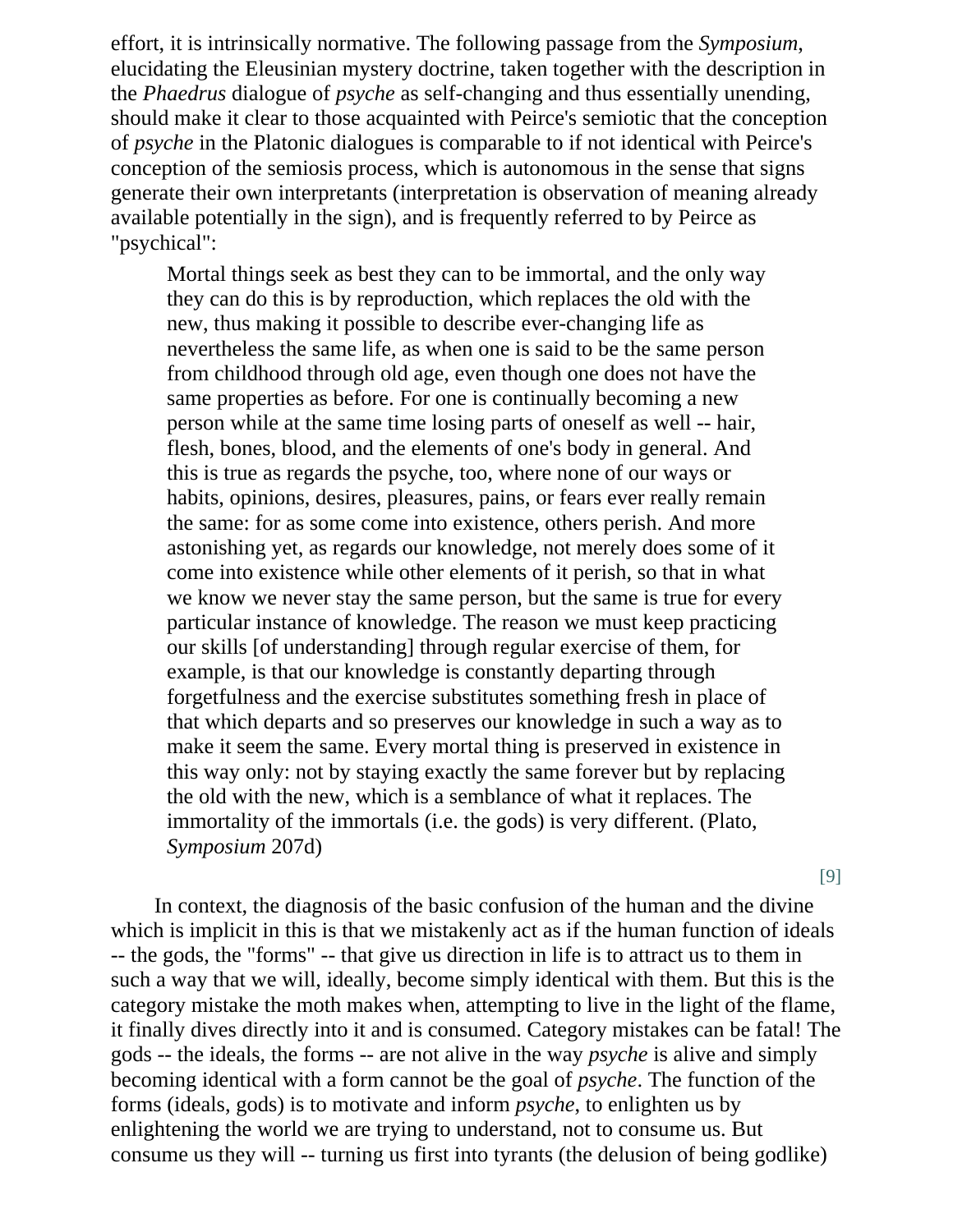effort, it is intrinsically normative. The following passage from the *Symposium*, elucidating the Eleusinian mystery doctrine, taken together with the description in the *Phaedrus* dialogue of *psyche* as self-changing and thus essentially unending, should make it clear to those acquainted with Peirce's semiotic that the conception of *psyche* in the Platonic dialogues is comparable to if not identical with Peirce's conception of the semiosis process, which is autonomous in the sense that signs generate their own interpretants (interpretation is observation of meaning already available potentially in the sign), and is frequently referred to by Peirce as "psychical":

Mortal things seek as best they can to be immortal, and the only way they can do this is by reproduction, which replaces the old with the new, thus making it possible to describe ever-changing life as nevertheless the same life, as when one is said to be the same person from childhood through old age, even though one does not have the same properties as before. For one is continually becoming a new person while at the same time losing parts of oneself as well -- hair, flesh, bones, blood, and the elements of one's body in general. And this is true as regards the psyche, too, where none of our ways or habits, opinions, desires, pleasures, pains, or fears ever really remain the same: for as some come into existence, others perish. And more astonishing yet, as regards our knowledge, not merely does some of it come into existence while other elements of it perish, so that in what we know we never stay the same person, but the same is true for every particular instance of knowledge. The reason we must keep practicing our skills [of understanding] through regular exercise of them, for example, is that our knowledge is constantly departing through forgetfulness and the exercise substitutes something fresh in place of that which departs and so preserves our knowledge in such a way as to make it seem the same. Every mortal thing is preserved in existence in this way only: not by staying exactly the same forever but by replacing the old with the new, which is a semblance of what it replaces. The immortality of the immortals (i.e. the gods) is very different. (Plato, *Symposium* 207d)

 In context, the diagnosis of the basic confusion of the human and the divine which is implicit in this is that we mistakenly act as if the human function of ideals -- the gods, the "forms" -- that give us direction in life is to attract us to them in such a way that we will, ideally, become simply identical with them. But this is the category mistake the moth makes when, attempting to live in the light of the flame, it finally dives directly into it and is consumed. Category mistakes can be fatal! The gods -- the ideals, the forms -- are not alive in the way *psyche* is alive and simply becoming identical with a form cannot be the goal of *psyche*. The function of the forms (ideals, gods) is to motivate and inform *psyche*, to enlighten us by enlightening the world we are trying to understand, not to consume us. But consume us they will -- turning us first into tyrants (the delusion of being godlike)

[9]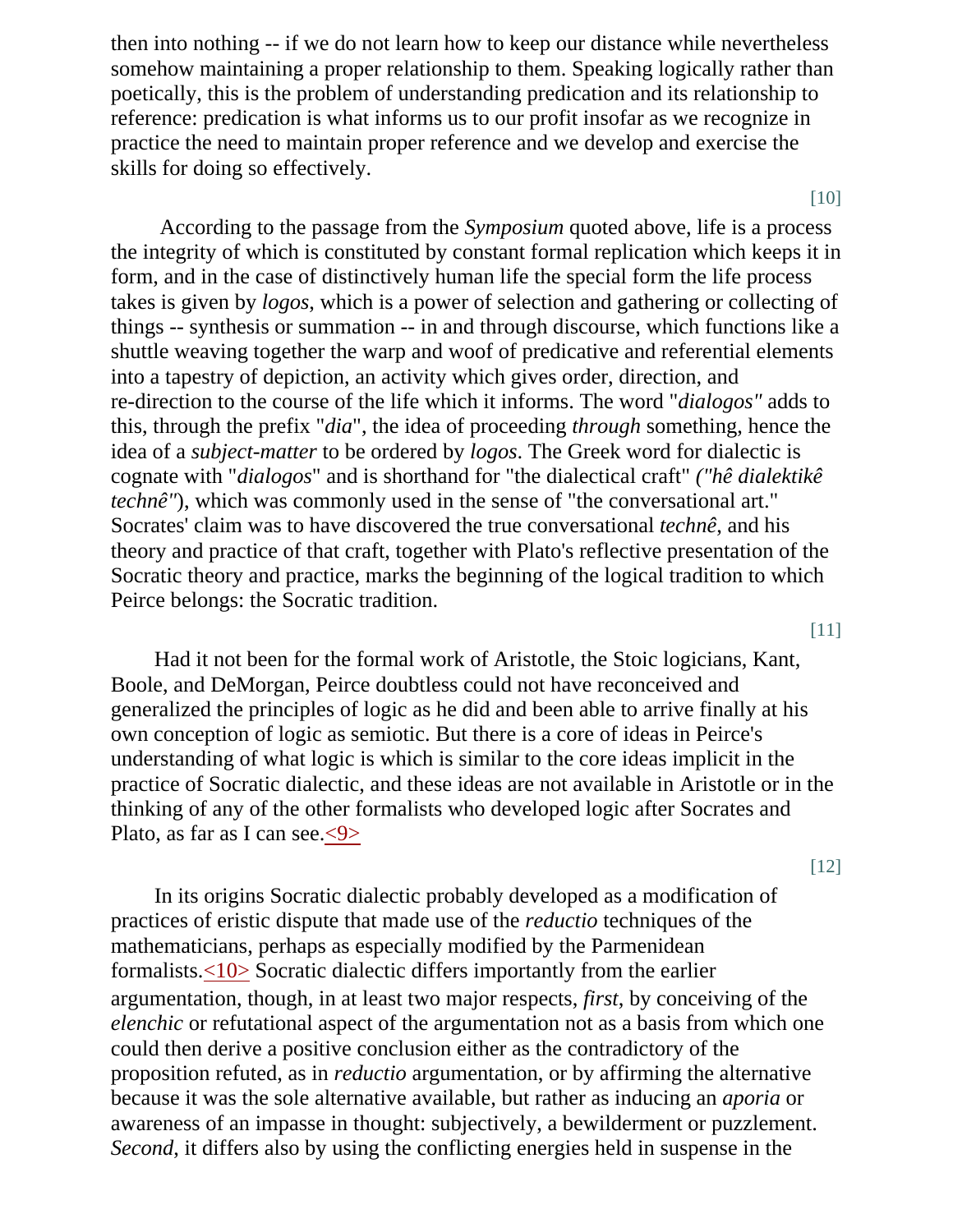then into nothing -- if we do not learn how to keep our distance while nevertheless somehow maintaining a proper relationship to them. Speaking logically rather than poetically, this is the problem of understanding predication and its relationship to reference: predication is what informs us to our profit insofar as we recognize in practice the need to maintain proper reference and we develop and exercise the skills for doing so effectively.

[10]

 According to the passage from the *Symposium* quoted above, life is a process the integrity of which is constituted by constant formal replication which keeps it in form, and in the case of distinctively human life the special form the life process takes is given by *logos*, which is a power of selection and gathering or collecting of things -- synthesis or summation -- in and through discourse, which functions like a shuttle weaving together the warp and woof of predicative and referential elements into a tapestry of depiction, an activity which gives order, direction, and re-direction to the course of the life which it informs. The word "*dialogos"* adds to this, through the prefix "*dia*", the idea of proceeding *through* something, hence the idea of a *subject-matter* to be ordered by *logos*. The Greek word for dialectic is cognate with "*dialogos*" and is shorthand for "the dialectical craft" *("hê dialektikê technê"*), which was commonly used in the sense of "the conversational art." Socrates' claim was to have discovered the true conversational *technê*, and his theory and practice of that craft, together with Plato's reflective presentation of the Socratic theory and practice, marks the beginning of the logical tradition to which Peirce belongs: the Socratic tradition.

 Had it not been for the formal work of Aristotle, the Stoic logicians, Kant, Boole, and DeMorgan, Peirce doubtless could not have reconceived and generalized the principles of logic as he did and been able to arrive finally at his own conception of logic as semiotic. But there is a core of ideas in Peirce's understanding of what logic is which is similar to the core ideas implicit in the practice of Socratic dialectic, and these ideas are not available in Aristotle or in the thinking of any of the other formalists who developed logic after Socrates and Plato, as far as I can see. < 9>

[12]

[11]

<span id="page-5-1"></span><span id="page-5-0"></span> In its origins Socratic dialectic probably developed as a modification of practices of eristic dispute that made use of the *reductio* techniques of the mathematicians, perhaps as especially modified by the Parmenidean formalists.[<10>](#page-14-0) Socratic dialectic differs importantly from the earlier argumentation, though, in at least two major respects, *first*, by conceiving of the *elenchic* or refutational aspect of the argumentation not as a basis from which one could then derive a positive conclusion either as the contradictory of the proposition refuted, as in *reductio* argumentation, or by affirming the alternative because it was the sole alternative available, but rather as inducing an *aporia* or awareness of an impasse in thought: subjectively, a bewilderment or puzzlement. *Second*, it differs also by using the conflicting energies held in suspense in the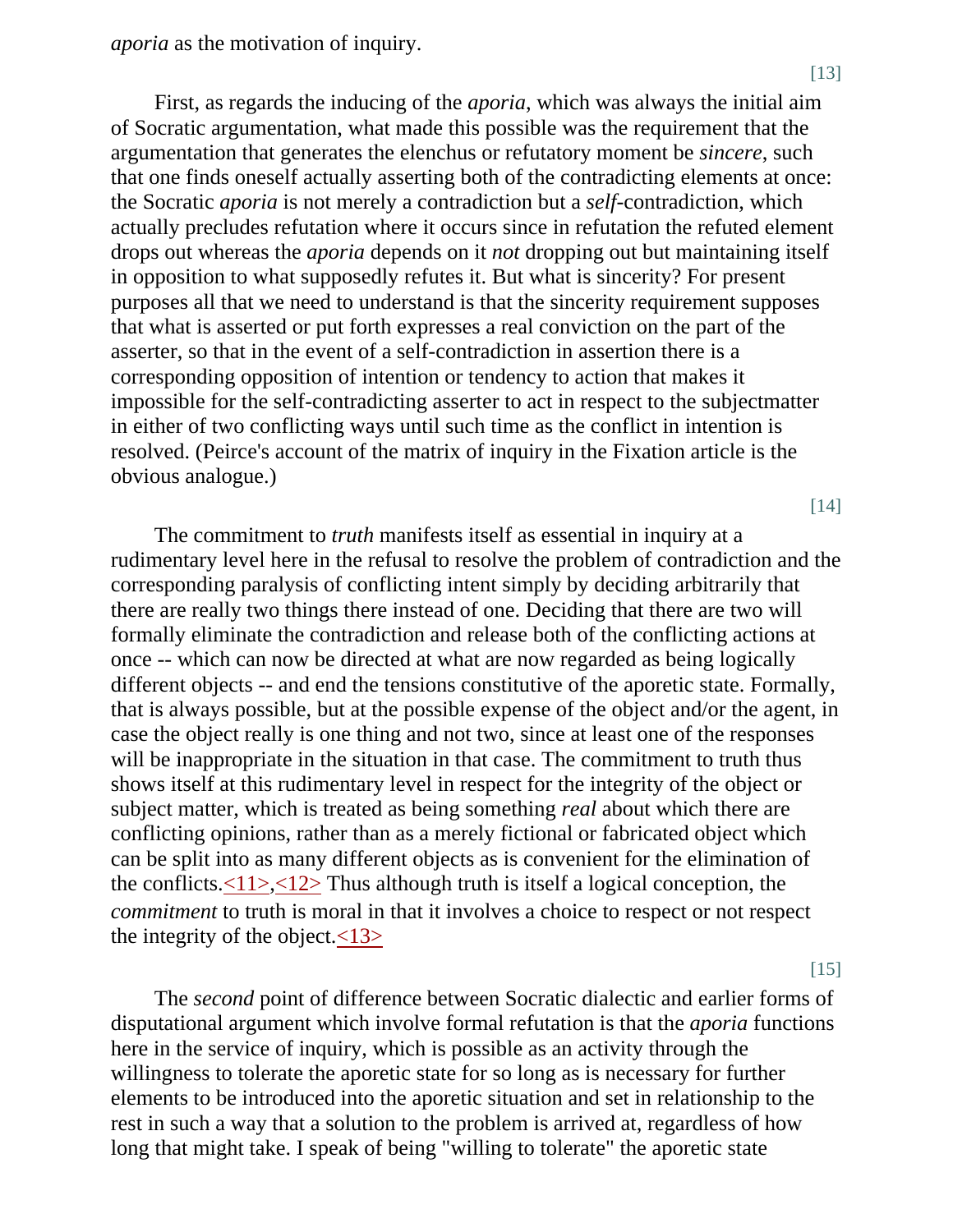First, as regards the inducing of the *aporia*, which was always the initial aim of Socratic argumentation, what made this possible was the requirement that the argumentation that generates the elenchus or refutatory moment be *sincere*, such that one finds oneself actually asserting both of the contradicting elements at once: the Socratic *aporia* is not merely a contradiction but a *self*-contradiction, which actually precludes refutation where it occurs since in refutation the refuted element drops out whereas the *aporia* depends on it *not* dropping out but maintaining itself in opposition to what supposedly refutes it. But what is sincerity? For present purposes all that we need to understand is that the sincerity requirement supposes that what is asserted or put forth expresses a real conviction on the part of the asserter, so that in the event of a self-contradiction in assertion there is a corresponding opposition of intention or tendency to action that makes it impossible for the self-contradicting asserter to act in respect to the subjectmatter in either of two conflicting ways until such time as the conflict in intention is resolved. (Peirce's account of the matrix of inquiry in the Fixation article is the obvious analogue.)

[14]

 The commitment to *truth* manifests itself as essential in inquiry at a rudimentary level here in the refusal to resolve the problem of contradiction and the corresponding paralysis of conflicting intent simply by deciding arbitrarily that there are really two things there instead of one. Deciding that there are two will formally eliminate the contradiction and release both of the conflicting actions at once -- which can now be directed at what are now regarded as being logically different objects -- and end the tensions constitutive of the aporetic state. Formally, that is always possible, but at the possible expense of the object and/or the agent, in case the object really is one thing and not two, since at least one of the responses will be inappropriate in the situation in that case. The commitment to truth thus shows itself at this rudimentary level in respect for the integrity of the object or subject matter, which is treated as being something *real* about which there are conflicting opinions, rather than as a merely fictional or fabricated object which can be split into as many different objects as is convenient for the elimination of the conflicts. $\langle 11 \rangle$ , $\langle 12 \rangle$  Thus although truth is itself a logical conception, the *commitment* to truth is moral in that it involves a choice to respect or not respect the integrity of the object[.<13>](#page-14-3)

[15]

<span id="page-6-1"></span><span id="page-6-0"></span> The *second* point of difference between Socratic dialectic and earlier forms of disputational argument which involve formal refutation is that the *aporia* functions here in the service of inquiry, which is possible as an activity through the willingness to tolerate the aporetic state for so long as is necessary for further elements to be introduced into the aporetic situation and set in relationship to the rest in such a way that a solution to the problem is arrived at, regardless of how long that might take. I speak of being "willing to tolerate" the aporetic state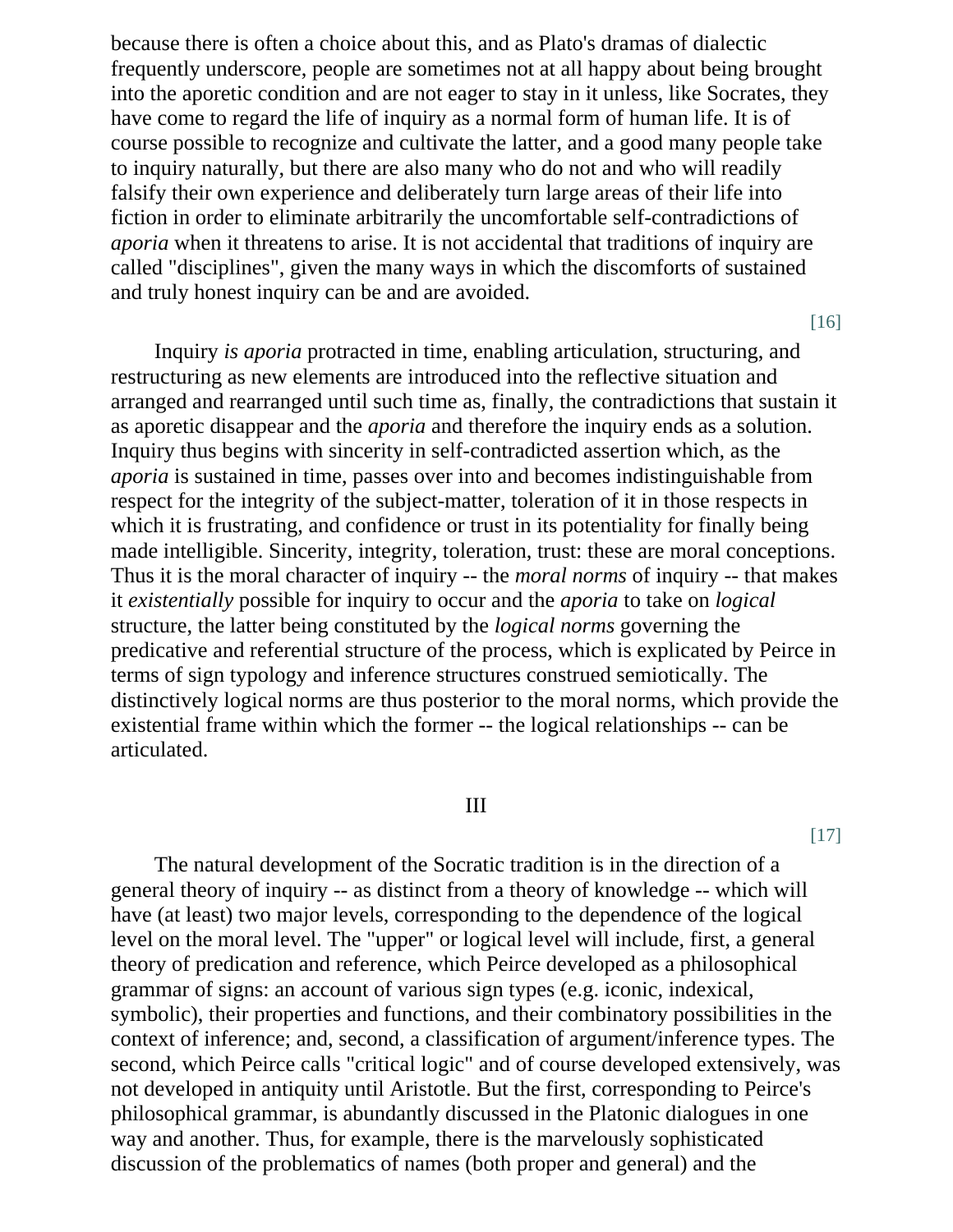because there is often a choice about this, and as Plato's dramas of dialectic frequently underscore, people are sometimes not at all happy about being brought into the aporetic condition and are not eager to stay in it unless, like Socrates, they have come to regard the life of inquiry as a normal form of human life. It is of course possible to recognize and cultivate the latter, and a good many people take to inquiry naturally, but there are also many who do not and who will readily falsify their own experience and deliberately turn large areas of their life into fiction in order to eliminate arbitrarily the uncomfortable self-contradictions of *aporia* when it threatens to arise. It is not accidental that traditions of inquiry are called "disciplines", given the many ways in which the discomforts of sustained and truly honest inquiry can be and are avoided.

[16]

 Inquiry *is aporia* protracted in time, enabling articulation, structuring, and restructuring as new elements are introduced into the reflective situation and arranged and rearranged until such time as, finally, the contradictions that sustain it as aporetic disappear and the *aporia* and therefore the inquiry ends as a solution. Inquiry thus begins with sincerity in self-contradicted assertion which, as the *aporia* is sustained in time, passes over into and becomes indistinguishable from respect for the integrity of the subject-matter, toleration of it in those respects in which it is frustrating, and confidence or trust in its potentiality for finally being made intelligible. Sincerity, integrity, toleration, trust: these are moral conceptions. Thus it is the moral character of inquiry -- the *moral norms* of inquiry -- that makes it *existentially* possible for inquiry to occur and the *aporia* to take on *logical* structure, the latter being constituted by the *logical norms* governing the predicative and referential structure of the process, which is explicated by Peirce in terms of sign typology and inference structures construed semiotically. The distinctively logical norms are thus posterior to the moral norms, which provide the existential frame within which the former -- the logical relationships -- can be articulated.

#### III

 $[17]$ 

 The natural development of the Socratic tradition is in the direction of a general theory of inquiry -- as distinct from a theory of knowledge -- which will have (at least) two major levels, corresponding to the dependence of the logical level on the moral level. The "upper" or logical level will include, first, a general theory of predication and reference, which Peirce developed as a philosophical grammar of signs: an account of various sign types (e.g. iconic, indexical, symbolic), their properties and functions, and their combinatory possibilities in the context of inference; and, second, a classification of argument/inference types. The second, which Peirce calls "critical logic" and of course developed extensively, was not developed in antiquity until Aristotle. But the first, corresponding to Peirce's philosophical grammar, is abundantly discussed in the Platonic dialogues in one way and another. Thus, for example, there is the marvelously sophisticated discussion of the problematics of names (both proper and general) and the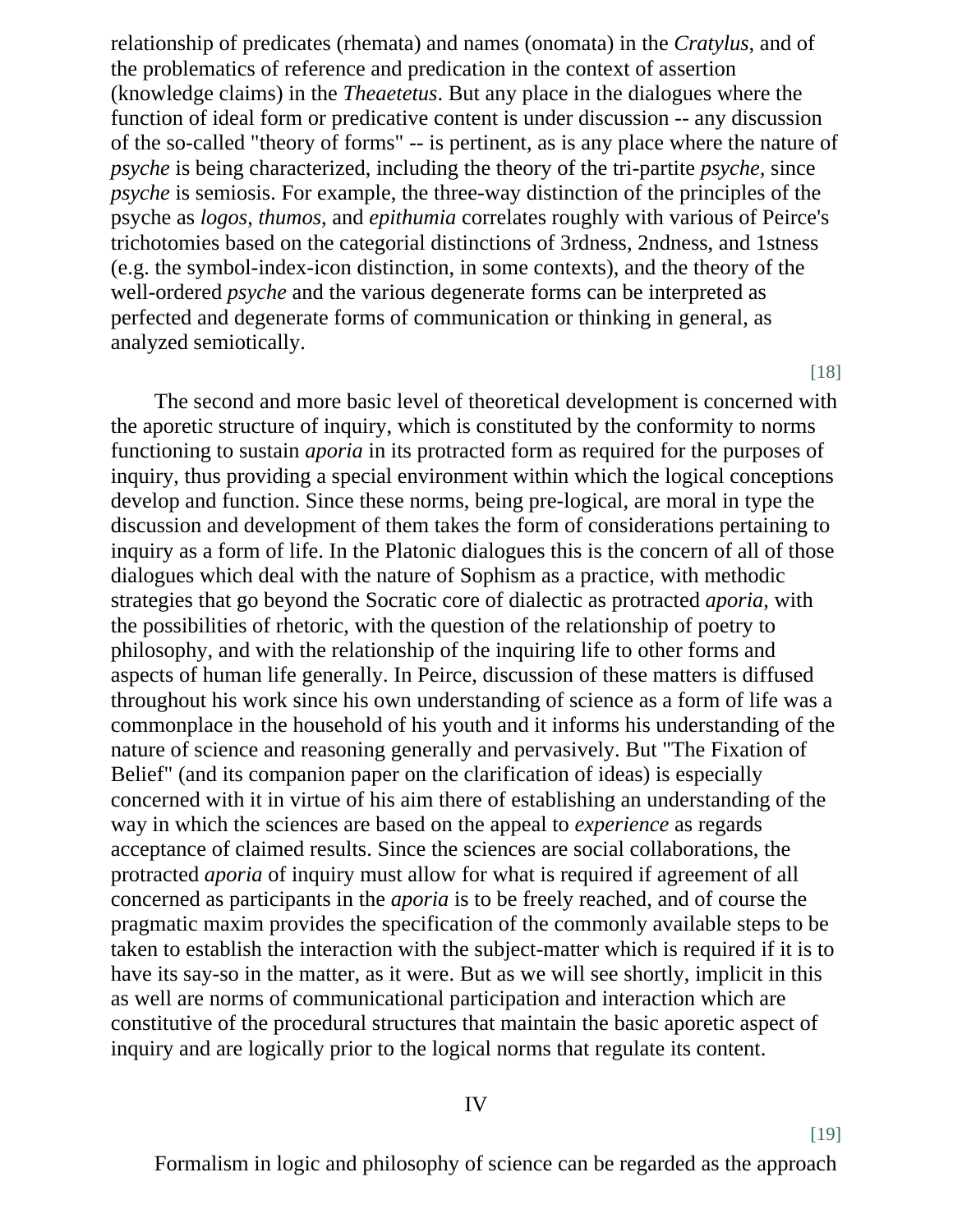relationship of predicates (rhemata) and names (onomata) in the *Cratylus*, and of the problematics of reference and predication in the context of assertion (knowledge claims) in the *Theaetetus*. But any place in the dialogues where the function of ideal form or predicative content is under discussion -- any discussion of the so-called "theory of forms" -- is pertinent, as is any place where the nature of *psyche* is being characterized, including the theory of the tri-partite *psyche,* since *psyche* is semiosis. For example, the three-way distinction of the principles of the psyche as *logos*, *thumos*, and *epithumia* correlates roughly with various of Peirce's trichotomies based on the categorial distinctions of 3rdness, 2ndness, and 1stness (e.g. the symbol-index-icon distinction, in some contexts), and the theory of the well-ordered *psyche* and the various degenerate forms can be interpreted as perfected and degenerate forms of communication or thinking in general, as analyzed semiotically.

 The second and more basic level of theoretical development is concerned with the aporetic structure of inquiry, which is constituted by the conformity to norms functioning to sustain *aporia* in its protracted form as required for the purposes of inquiry, thus providing a special environment within which the logical conceptions develop and function. Since these norms, being pre-logical, are moral in type the discussion and development of them takes the form of considerations pertaining to inquiry as a form of life. In the Platonic dialogues this is the concern of all of those dialogues which deal with the nature of Sophism as a practice, with methodic strategies that go beyond the Socratic core of dialectic as protracted *aporia*, with the possibilities of rhetoric, with the question of the relationship of poetry to philosophy, and with the relationship of the inquiring life to other forms and aspects of human life generally. In Peirce, discussion of these matters is diffused throughout his work since his own understanding of science as a form of life was a commonplace in the household of his youth and it informs his understanding of the nature of science and reasoning generally and pervasively. But "The Fixation of Belief" (and its companion paper on the clarification of ideas) is especially concerned with it in virtue of his aim there of establishing an understanding of the way in which the sciences are based on the appeal to *experience* as regards acceptance of claimed results. Since the sciences are social collaborations, the protracted *aporia* of inquiry must allow for what is required if agreement of all concerned as participants in the *aporia* is to be freely reached, and of course the pragmatic maxim provides the specification of the commonly available steps to be taken to establish the interaction with the subject-matter which is required if it is to have its say-so in the matter, as it were. But as we will see shortly, implicit in this as well are norms of communicational participation and interaction which are constitutive of the procedural structures that maintain the basic aporetic aspect of inquiry and are logically prior to the logical norms that regulate its content.

## IV

Formalism in logic and philosophy of science can be regarded as the approach

[19]

[18]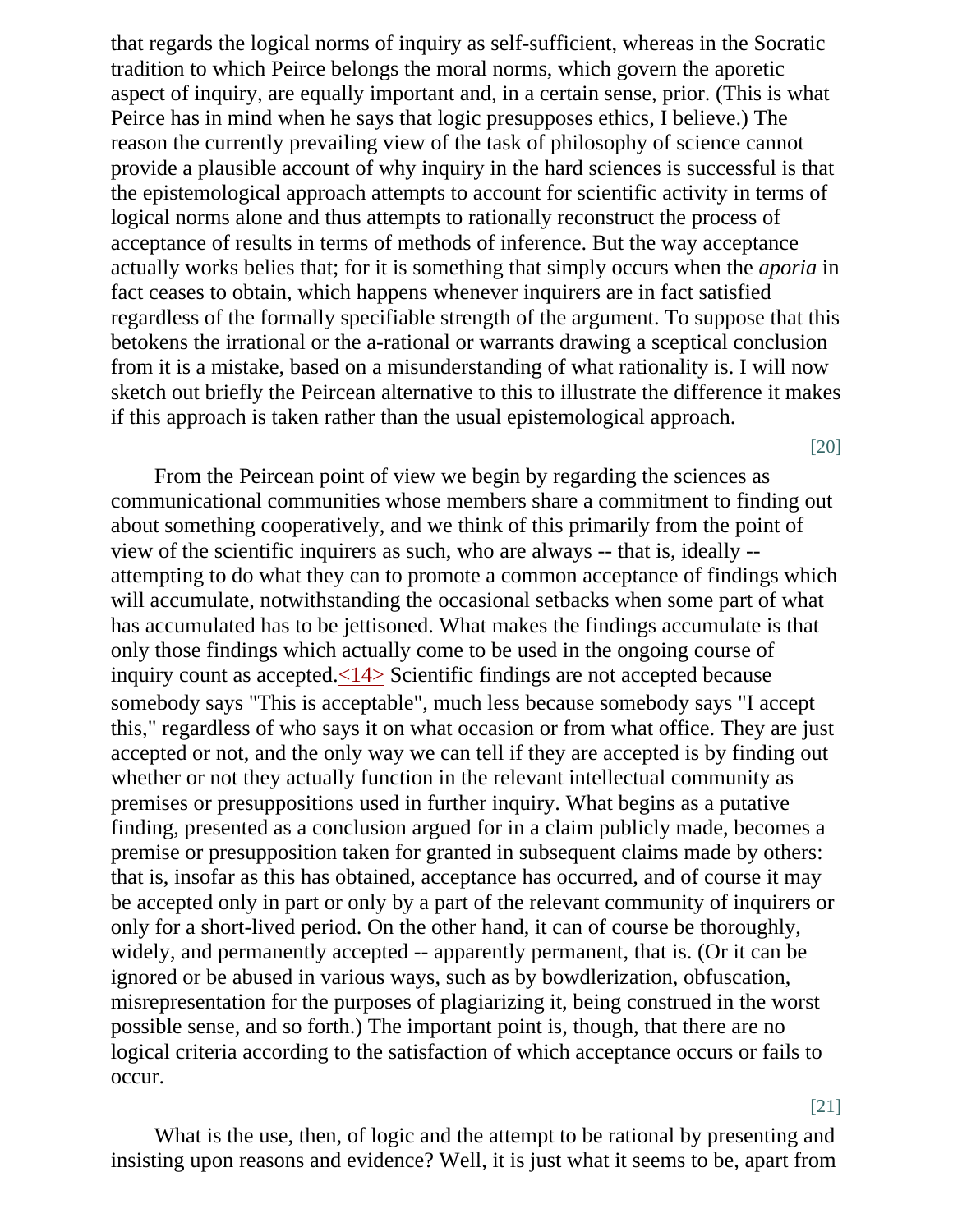that regards the logical norms of inquiry as self-sufficient, whereas in the Socratic tradition to which Peirce belongs the moral norms, which govern the aporetic aspect of inquiry, are equally important and, in a certain sense, prior. (This is what Peirce has in mind when he says that logic presupposes ethics, I believe.) The reason the currently prevailing view of the task of philosophy of science cannot provide a plausible account of why inquiry in the hard sciences is successful is that the epistemological approach attempts to account for scientific activity in terms of logical norms alone and thus attempts to rationally reconstruct the process of acceptance of results in terms of methods of inference. But the way acceptance actually works belies that; for it is something that simply occurs when the *aporia* in fact ceases to obtain, which happens whenever inquirers are in fact satisfied regardless of the formally specifiable strength of the argument. To suppose that this betokens the irrational or the a-rational or warrants drawing a sceptical conclusion from it is a mistake, based on a misunderstanding of what rationality is. I will now sketch out briefly the Peircean alternative to this to illustrate the difference it makes if this approach is taken rather than the usual epistemological approach.

<span id="page-9-0"></span> From the Peircean point of view we begin by regarding the sciences as communicational communities whose members share a commitment to finding out about something cooperatively, and we think of this primarily from the point of view of the scientific inquirers as such, who are always -- that is, ideally - attempting to do what they can to promote a common acceptance of findings which will accumulate, notwithstanding the occasional setbacks when some part of what has accumulated has to be jettisoned. What makes the findings accumulate is that only those findings which actually come to be used in the ongoing course of inquiry count as accepted[.<14>](#page-15-0) Scientific findings are not accepted because somebody says "This is acceptable", much less because somebody says "I accept this," regardless of who says it on what occasion or from what office. They are just accepted or not, and the only way we can tell if they are accepted is by finding out whether or not they actually function in the relevant intellectual community as premises or presuppositions used in further inquiry. What begins as a putative finding, presented as a conclusion argued for in a claim publicly made, becomes a premise or presupposition taken for granted in subsequent claims made by others: that is, insofar as this has obtained, acceptance has occurred, and of course it may be accepted only in part or only by a part of the relevant community of inquirers or only for a short-lived period. On the other hand, it can of course be thoroughly, widely, and permanently accepted -- apparently permanent, that is. (Or it can be ignored or be abused in various ways, such as by bowdlerization, obfuscation, misrepresentation for the purposes of plagiarizing it, being construed in the worst possible sense, and so forth.) The important point is, though, that there are no logical criteria according to the satisfaction of which acceptance occurs or fails to occur.

 What is the use, then, of logic and the attempt to be rational by presenting and insisting upon reasons and evidence? Well, it is just what it seems to be, apart from

[21]

[20]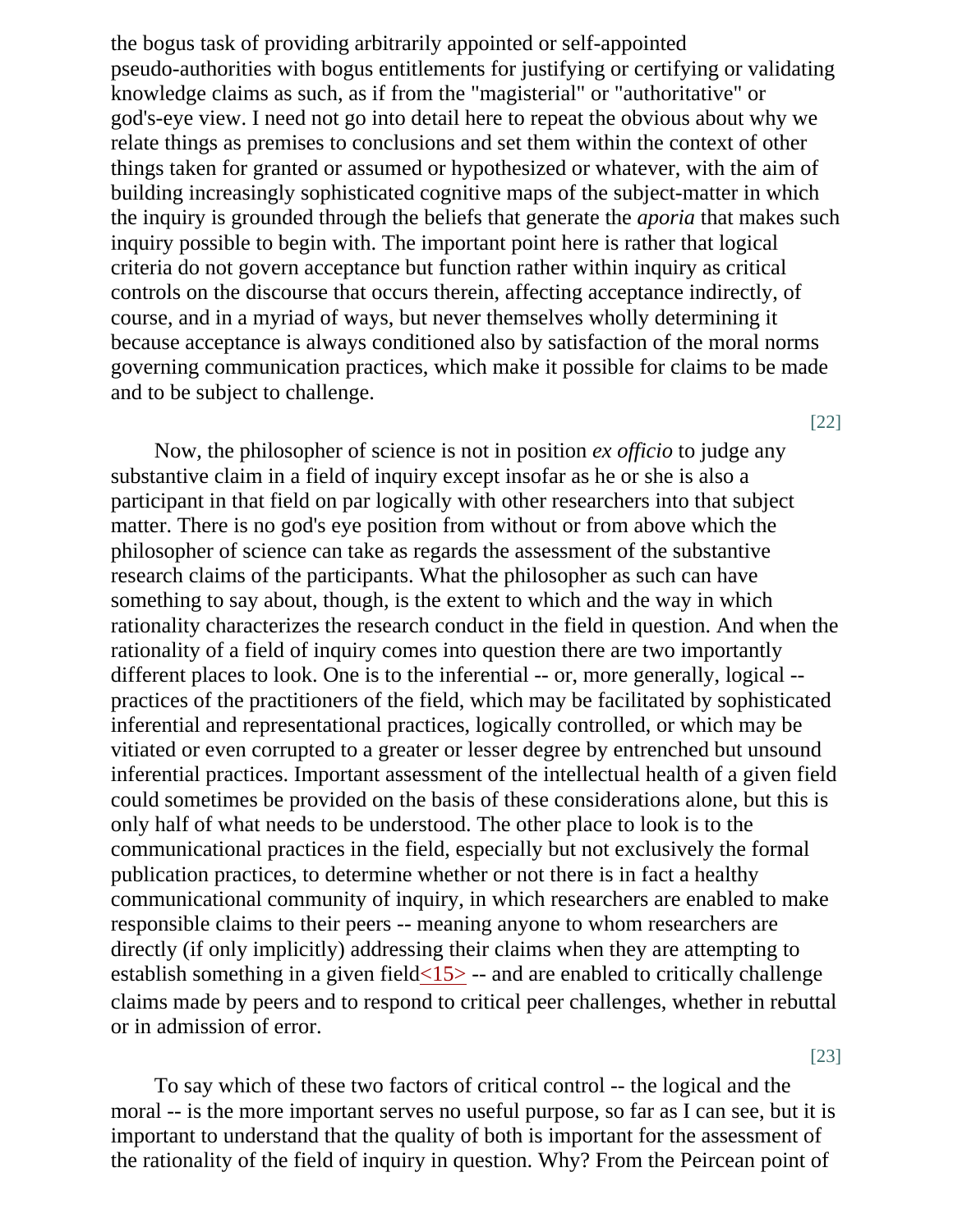the bogus task of providing arbitrarily appointed or self-appointed pseudo-authorities with bogus entitlements for justifying or certifying or validating knowledge claims as such, as if from the "magisterial" or "authoritative" or god's-eye view. I need not go into detail here to repeat the obvious about why we relate things as premises to conclusions and set them within the context of other things taken for granted or assumed or hypothesized or whatever, with the aim of building increasingly sophisticated cognitive maps of the subject-matter in which the inquiry is grounded through the beliefs that generate the *aporia* that makes such inquiry possible to begin with. The important point here is rather that logical criteria do not govern acceptance but function rather within inquiry as critical controls on the discourse that occurs therein, affecting acceptance indirectly, of course, and in a myriad of ways, but never themselves wholly determining it because acceptance is always conditioned also by satisfaction of the moral norms governing communication practices, which make it possible for claims to be made and to be subject to challenge.

 Now, the philosopher of science is not in position *ex officio* to judge any substantive claim in a field of inquiry except insofar as he or she is also a participant in that field on par logically with other researchers into that subject matter. There is no god's eye position from without or from above which the philosopher of science can take as regards the assessment of the substantive research claims of the participants. What the philosopher as such can have something to say about, though, is the extent to which and the way in which rationality characterizes the research conduct in the field in question. And when the rationality of a field of inquiry comes into question there are two importantly different places to look. One is to the inferential -- or, more generally, logical - practices of the practitioners of the field, which may be facilitated by sophisticated inferential and representational practices, logically controlled, or which may be vitiated or even corrupted to a greater or lesser degree by entrenched but unsound inferential practices. Important assessment of the intellectual health of a given field could sometimes be provided on the basis of these considerations alone, but this is only half of what needs to be understood. The other place to look is to the communicational practices in the field, especially but not exclusively the formal publication practices, to determine whether or not there is in fact a healthy communicational community of inquiry, in which researchers are enabled to make responsible claims to their peers -- meaning anyone to whom researchers are directly (if only implicitly) addressing their claims when they are attempting to establish something in a given field  $\langle 15 \rangle$  -- and are enabled to critically challenge claims made by peers and to respond to critical peer challenges, whether in rebuttal or in admission of error.

[23]

[22]

<span id="page-10-0"></span> To say which of these two factors of critical control -- the logical and the moral -- is the more important serves no useful purpose, so far as I can see, but it is important to understand that the quality of both is important for the assessment of the rationality of the field of inquiry in question. Why? From the Peircean point of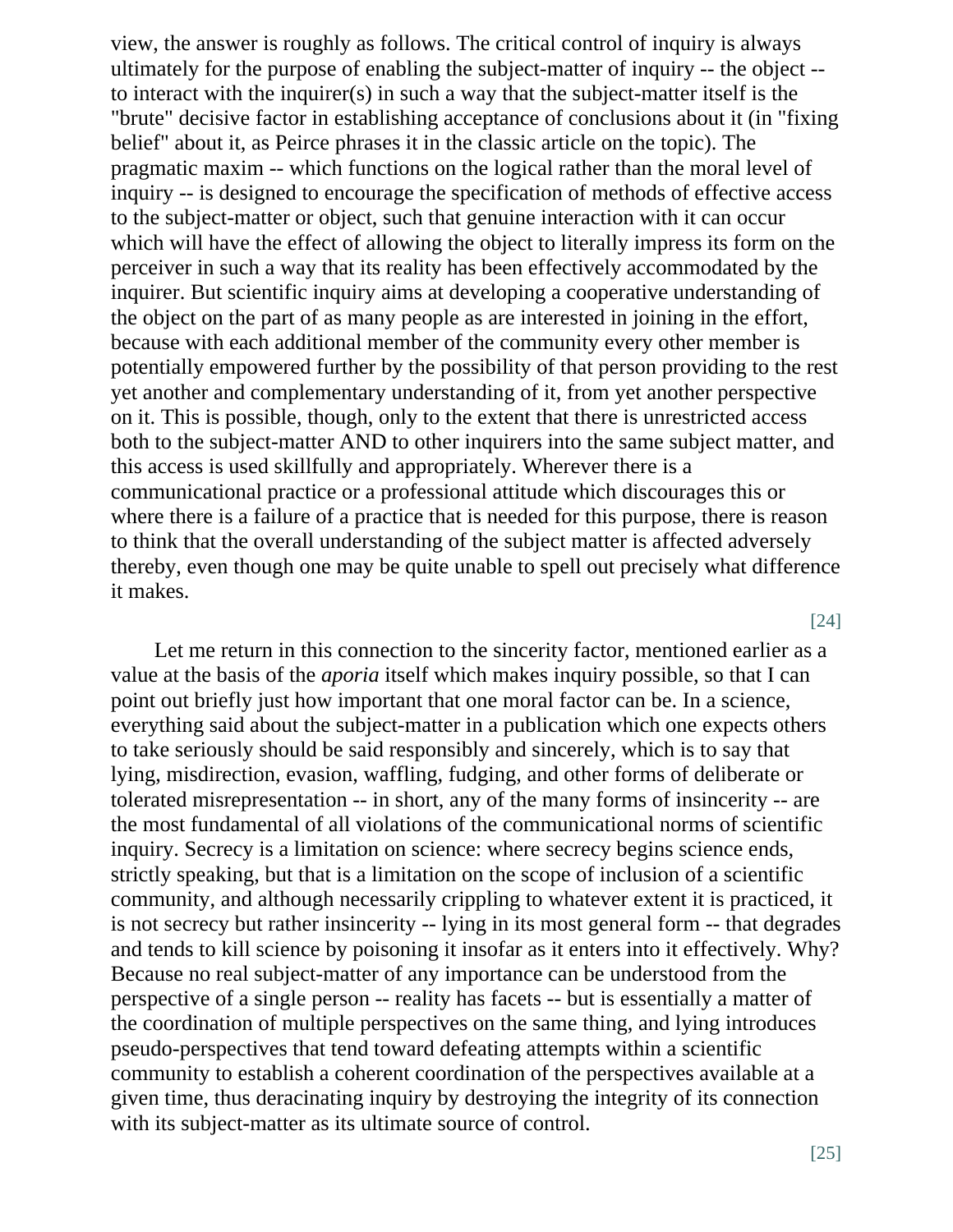view, the answer is roughly as follows. The critical control of inquiry is always ultimately for the purpose of enabling the subject-matter of inquiry -- the object - to interact with the inquirer(s) in such a way that the subject-matter itself is the "brute" decisive factor in establishing acceptance of conclusions about it (in "fixing belief" about it, as Peirce phrases it in the classic article on the topic). The pragmatic maxim -- which functions on the logical rather than the moral level of inquiry -- is designed to encourage the specification of methods of effective access to the subject-matter or object, such that genuine interaction with it can occur which will have the effect of allowing the object to literally impress its form on the perceiver in such a way that its reality has been effectively accommodated by the inquirer. But scientific inquiry aims at developing a cooperative understanding of the object on the part of as many people as are interested in joining in the effort, because with each additional member of the community every other member is potentially empowered further by the possibility of that person providing to the rest yet another and complementary understanding of it, from yet another perspective on it. This is possible, though, only to the extent that there is unrestricted access both to the subject-matter AND to other inquirers into the same subject matter, and this access is used skillfully and appropriately. Wherever there is a communicational practice or a professional attitude which discourages this or where there is a failure of a practice that is needed for this purpose, there is reason to think that the overall understanding of the subject matter is affected adversely thereby, even though one may be quite unable to spell out precisely what difference it makes.

Let me return in this connection to the sincerity factor, mentioned earlier as a value at the basis of the *aporia* itself which makes inquiry possible, so that I can point out briefly just how important that one moral factor can be. In a science, everything said about the subject-matter in a publication which one expects others to take seriously should be said responsibly and sincerely, which is to say that lying, misdirection, evasion, waffling, fudging, and other forms of deliberate or tolerated misrepresentation -- in short, any of the many forms of insincerity -- are the most fundamental of all violations of the communicational norms of scientific inquiry. Secrecy is a limitation on science: where secrecy begins science ends, strictly speaking, but that is a limitation on the scope of inclusion of a scientific community, and although necessarily crippling to whatever extent it is practiced, it is not secrecy but rather insincerity -- lying in its most general form -- that degrades and tends to kill science by poisoning it insofar as it enters into it effectively. Why? Because no real subject-matter of any importance can be understood from the perspective of a single person -- reality has facets -- but is essentially a matter of the coordination of multiple perspectives on the same thing, and lying introduces pseudo-perspectives that tend toward defeating attempts within a scientific community to establish a coherent coordination of the perspectives available at a given time, thus deracinating inquiry by destroying the integrity of its connection with its subject-matter as its ultimate source of control.

[24]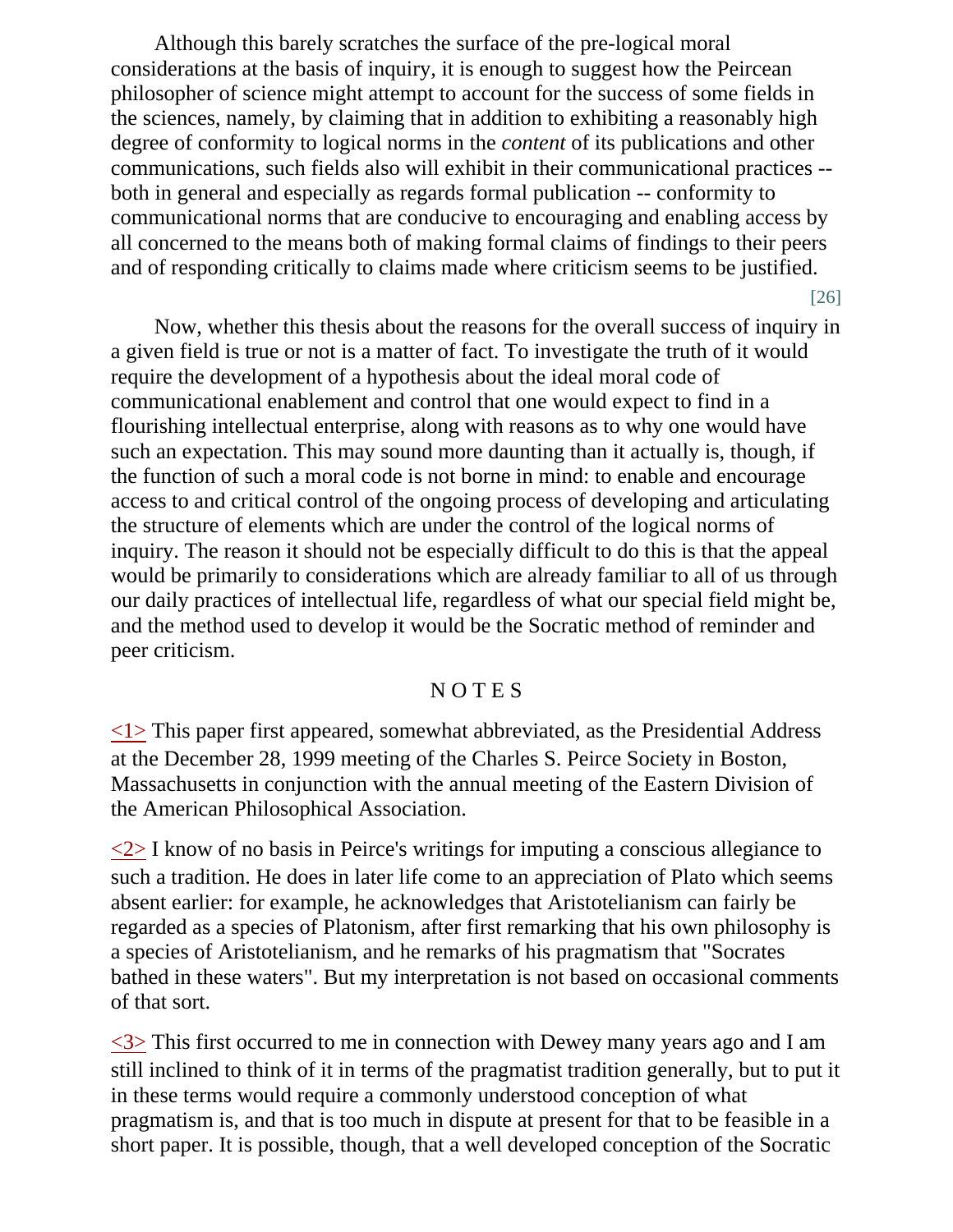Although this barely scratches the surface of the pre-logical moral considerations at the basis of inquiry, it is enough to suggest how the Peircean philosopher of science might attempt to account for the success of some fields in the sciences, namely, by claiming that in addition to exhibiting a reasonably high degree of conformity to logical norms in the *content* of its publications and other communications, such fields also will exhibit in their communicational practices - both in general and especially as regards formal publication -- conformity to communicational norms that are conducive to encouraging and enabling access by all concerned to the means both of making formal claims of findings to their peers and of responding critically to claims made where criticism seems to be justified.

[26]

 Now, whether this thesis about the reasons for the overall success of inquiry in a given field is true or not is a matter of fact. To investigate the truth of it would require the development of a hypothesis about the ideal moral code of communicational enablement and control that one would expect to find in a flourishing intellectual enterprise, along with reasons as to why one would have such an expectation. This may sound more daunting than it actually is, though, if the function of such a moral code is not borne in mind: to enable and encourage access to and critical control of the ongoing process of developing and articulating the structure of elements which are under the control of the logical norms of inquiry. The reason it should not be especially difficult to do this is that the appeal would be primarily to considerations which are already familiar to all of us through our daily practices of intellectual life, regardless of what our special field might be, and the method used to develop it would be the Socratic method of reminder and peer criticism.

## **NOTES**

<span id="page-12-0"></span>[<1>](#page-0-0) This paper first appeared, somewhat abbreviated, as the Presidential Address at the December 28, 1999 meeting of the Charles S. Peirce Society in Boston, Massachusetts in conjunction with the annual meeting of the Eastern Division of the American Philosophical Association.

<span id="page-12-1"></span>[<2>](#page-0-1) I know of no basis in Peirce's writings for imputing a conscious allegiance to such a tradition. He does in later life come to an appreciation of Plato which seems absent earlier: for example, he acknowledges that Aristotelianism can fairly be regarded as a species of Platonism, after first remarking that his own philosophy is a species of Aristotelianism, and he remarks of his pragmatism that "Socrates bathed in these waters". But my interpretation is not based on occasional comments of that sort.

<span id="page-12-2"></span>[<3>](#page-0-2) This first occurred to me in connection with Dewey many years ago and I am still inclined to think of it in terms of the pragmatist tradition generally, but to put it in these terms would require a commonly understood conception of what pragmatism is, and that is too much in dispute at present for that to be feasible in a short paper. It is possible, though, that a well developed conception of the Socratic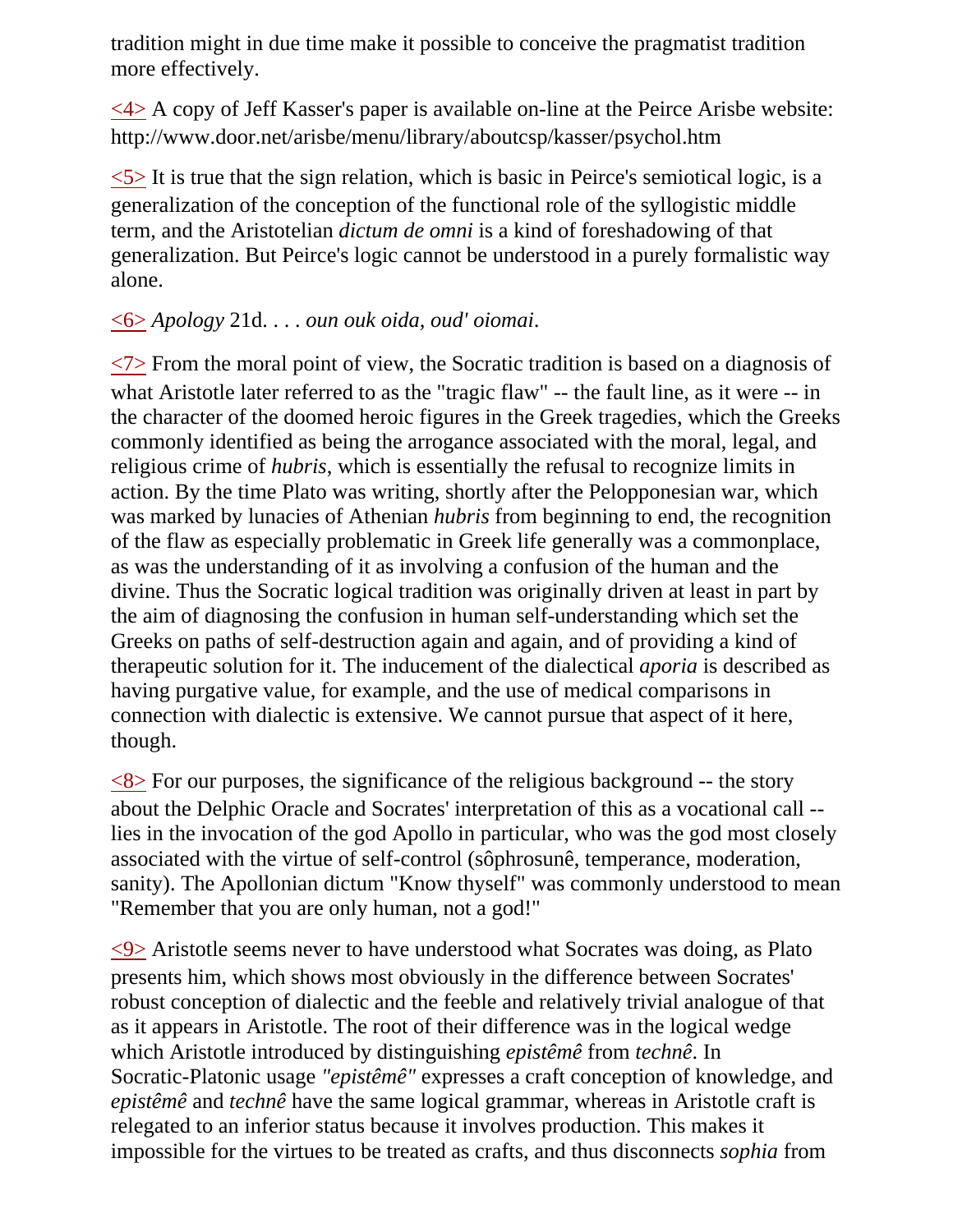tradition might in due time make it possible to conceive the pragmatist tradition more effectively.

<span id="page-13-0"></span> $\langle 4 \rangle$  A copy of Jeff Kasser's paper is available on-line at the Peirce Arisbe website: http://www.door.net/arisbe/menu/library/aboutcsp/kasser/psychol.htm

<span id="page-13-1"></span> $\langle 5 \rangle$  It is true that the sign relation, which is basic in Peirce's semiotical logic, is a generalization of the conception of the functional role of the syllogistic middle term, and the Aristotelian *dictum de omni* is a kind of foreshadowing of that generalization. But Peirce's logic cannot be understood in a purely formalistic way alone.

# <span id="page-13-2"></span>[<6>](#page-2-0) *Apology* 21d. . . . *oun ouk oida, oud' oiomai*.

<span id="page-13-3"></span>[<7>](#page-2-1) From the moral point of view, the Socratic tradition is based on a diagnosis of what Aristotle later referred to as the "tragic flaw" -- the fault line, as it were -- in the character of the doomed heroic figures in the Greek tragedies, which the Greeks commonly identified as being the arrogance associated with the moral, legal, and religious crime of *hubris*, which is essentially the refusal to recognize limits in action. By the time Plato was writing, shortly after the Pelopponesian war, which was marked by lunacies of Athenian *hubris* from beginning to end, the recognition of the flaw as especially problematic in Greek life generally was a commonplace, as was the understanding of it as involving a confusion of the human and the divine. Thus the Socratic logical tradition was originally driven at least in part by the aim of diagnosing the confusion in human self-understanding which set the Greeks on paths of self-destruction again and again, and of providing a kind of therapeutic solution for it. The inducement of the dialectical *aporia* is described as having purgative value, for example, and the use of medical comparisons in connection with dialectic is extensive. We cannot pursue that aspect of it here, though.

<span id="page-13-4"></span> $\langle 8 \rangle$  For our purposes, the significance of the religious background -- the story about the Delphic Oracle and Socrates' interpretation of this as a vocational call - lies in the invocation of the god Apollo in particular, who was the god most closely associated with the virtue of self-control (sôphrosunê, temperance, moderation, sanity). The Apollonian dictum "Know thyself" was commonly understood to mean "Remember that you are only human, not a god!"

<span id="page-13-5"></span>[<9>](#page-5-0) Aristotle seems never to have understood what Socrates was doing, as Plato presents him, which shows most obviously in the difference between Socrates' robust conception of dialectic and the feeble and relatively trivial analogue of that as it appears in Aristotle. The root of their difference was in the logical wedge which Aristotle introduced by distinguishing *epistêmê* from *technê*. In Socratic-Platonic usage *"epistêmê"* expresses a craft conception of knowledge, and *epistêmê* and *technê* have the same logical grammar, whereas in Aristotle craft is relegated to an inferior status because it involves production. This makes it impossible for the virtues to be treated as crafts, and thus disconnects *sophia* from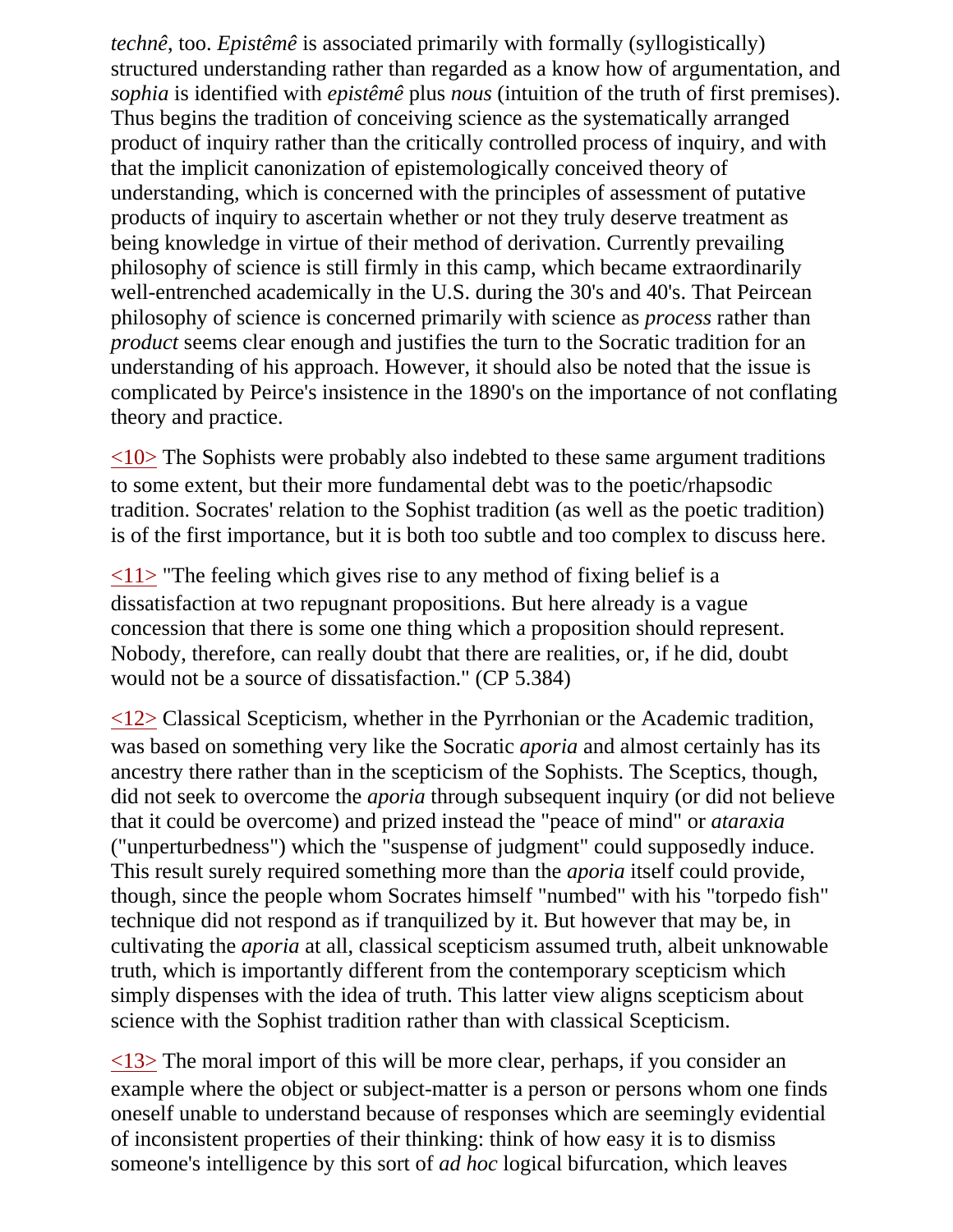*technê*, too. *Epistêmê* is associated primarily with formally (syllogistically) structured understanding rather than regarded as a know how of argumentation, and *sophia* is identified with *epistêmê* plus *nous* (intuition of the truth of first premises). Thus begins the tradition of conceiving science as the systematically arranged product of inquiry rather than the critically controlled process of inquiry, and with that the implicit canonization of epistemologically conceived theory of understanding, which is concerned with the principles of assessment of putative products of inquiry to ascertain whether or not they truly deserve treatment as being knowledge in virtue of their method of derivation. Currently prevailing philosophy of science is still firmly in this camp, which became extraordinarily well-entrenched academically in the U.S. during the 30's and 40's. That Peircean philosophy of science is concerned primarily with science as *process* rather than *product* seems clear enough and justifies the turn to the Socratic tradition for an understanding of his approach. However, it should also be noted that the issue is complicated by Peirce's insistence in the 1890's on the importance of not conflating theory and practice.

<span id="page-14-0"></span> $\langle 10 \rangle$  The Sophists were probably also indebted to these same argument traditions to some extent, but their more fundamental debt was to the poetic/rhapsodic tradition. Socrates' relation to the Sophist tradition (as well as the poetic tradition) is of the first importance, but it is both too subtle and too complex to discuss here.

<span id="page-14-1"></span> $\langle 11 \rangle$  "The feeling which gives rise to any method of fixing belief is a dissatisfaction at two repugnant propositions. But here already is a vague concession that there is some one thing which a proposition should represent. Nobody, therefore, can really doubt that there are realities, or, if he did, doubt would not be a source of dissatisfaction." (CP 5.384)

<span id="page-14-2"></span>[<12>](#page-6-0) Classical Scepticism, whether in the Pyrrhonian or the Academic tradition, was based on something very like the Socratic *aporia* and almost certainly has its ancestry there rather than in the scepticism of the Sophists. The Sceptics, though, did not seek to overcome the *aporia* through subsequent inquiry (or did not believe that it could be overcome) and prized instead the "peace of mind" or *ataraxia* ("unperturbedness") which the "suspense of judgment" could supposedly induce. This result surely required something more than the *aporia* itself could provide, though, since the people whom Socrates himself "numbed" with his "torpedo fish" technique did not respond as if tranquilized by it. But however that may be, in cultivating the *aporia* at all, classical scepticism assumed truth, albeit unknowable truth, which is importantly different from the contemporary scepticism which simply dispenses with the idea of truth. This latter view aligns scepticism about science with the Sophist tradition rather than with classical Scepticism.

<span id="page-14-3"></span> $\langle 13 \rangle$  The moral import of this will be more clear, perhaps, if you consider an example where the object or subject-matter is a person or persons whom one finds oneself unable to understand because of responses which are seemingly evidential of inconsistent properties of their thinking: think of how easy it is to dismiss someone's intelligence by this sort of *ad hoc* logical bifurcation, which leaves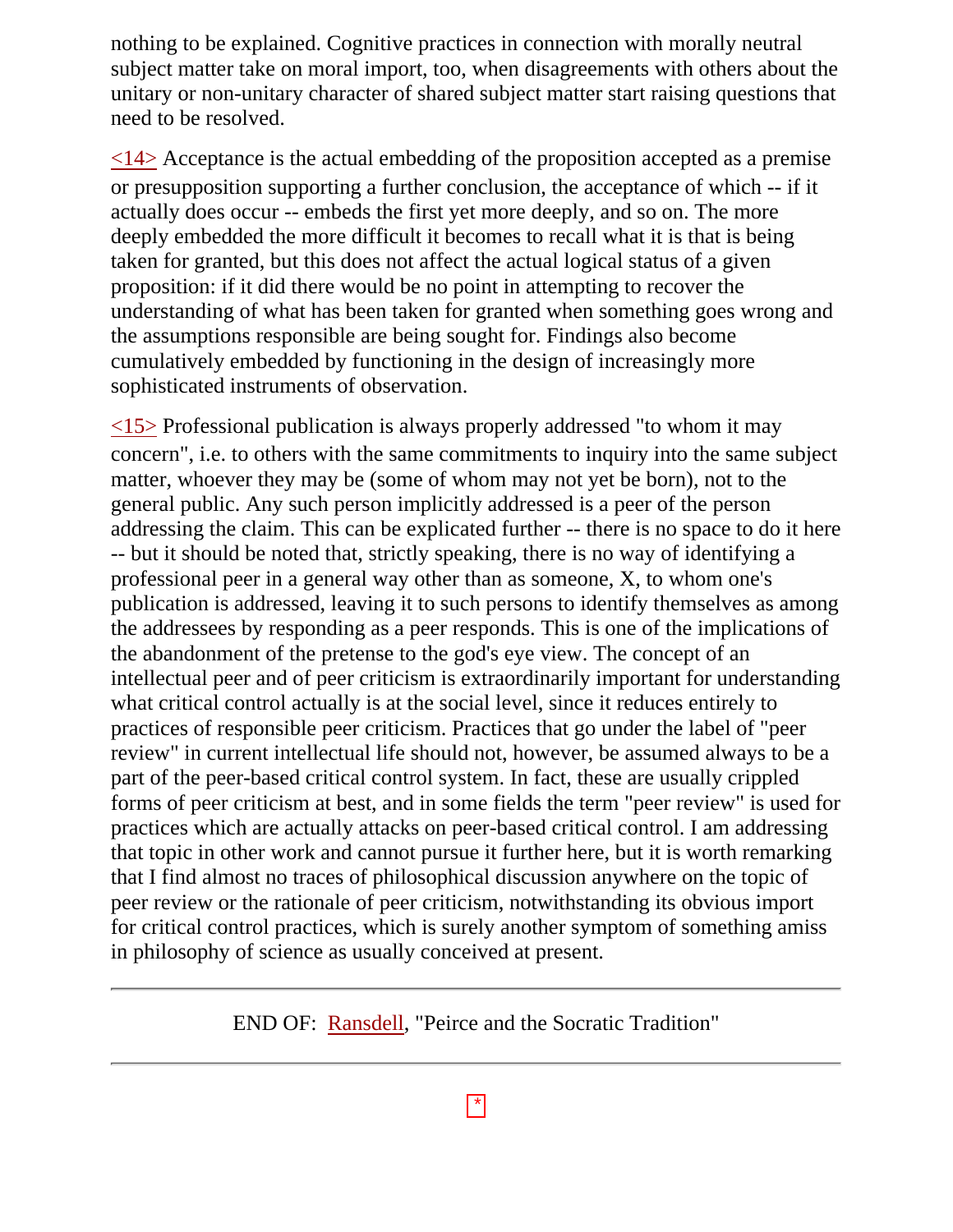nothing to be explained. Cognitive practices in connection with morally neutral subject matter take on moral import, too, when disagreements with others about the unitary or non-unitary character of shared subject matter start raising questions that need to be resolved.

<span id="page-15-0"></span>[<14>](#page-9-0) Acceptance is the actual embedding of the proposition accepted as a premise or presupposition supporting a further conclusion, the acceptance of which -- if it actually does occur -- embeds the first yet more deeply, and so on. The more deeply embedded the more difficult it becomes to recall what it is that is being taken for granted, but this does not affect the actual logical status of a given proposition: if it did there would be no point in attempting to recover the understanding of what has been taken for granted when something goes wrong and the assumptions responsible are being sought for. Findings also become cumulatively embedded by functioning in the design of increasingly more sophisticated instruments of observation.

<span id="page-15-1"></span>[<15>](#page-10-0) Professional publication is always properly addressed "to whom it may concern", i.e. to others with the same commitments to inquiry into the same subject matter, whoever they may be (some of whom may not yet be born), not to the general public. Any such person implicitly addressed is a peer of the person addressing the claim. This can be explicated further -- there is no space to do it here -- but it should be noted that, strictly speaking, there is no way of identifying a professional peer in a general way other than as someone, X, to whom one's publication is addressed, leaving it to such persons to identify themselves as among the addressees by responding as a peer responds. This is one of the implications of the abandonment of the pretense to the god's eye view. The concept of an intellectual peer and of peer criticism is extraordinarily important for understanding what critical control actually is at the social level, since it reduces entirely to practices of responsible peer criticism. Practices that go under the label of "peer review" in current intellectual life should not, however, be assumed always to be a part of the peer-based critical control system. In fact, these are usually crippled forms of peer criticism at best, and in some fields the term "peer review" is used for practices which are actually attacks on peer-based critical control. I am addressing that topic in other work and cannot pursue it further here, but it is worth remarking that I find almost no traces of philosophical discussion anywhere on the topic of peer review or the rationale of peer criticism, notwithstanding its obvious import for critical control practices, which is surely another symptom of something amiss in philosophy of science as usually conceived at present.

END OF: [Ransdell,](mailto:ransdell.door.net) "Peirce and the Socratic Tradition"

\*